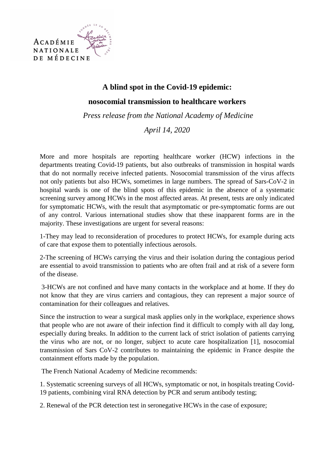

## **A blind spot in the Covid-19 epidemic: nosocomial transmission to healthcare workers**

 *Press release from the National Academy of Medicine* 

*April 14, 2020* 

More and more hospitals are reporting healthcare worker (HCW) infections in the departments treating Covid-19 patients, but also outbreaks of transmission in hospital wards that do not normally receive infected patients. Nosocomial transmission of the virus affects not only patients but also HCWs, sometimes in large numbers. The spread of Sars-CoV-2 in hospital wards is one of the blind spots of this epidemic in the absence of a systematic screening survey among HCWs in the most affected areas. At present, tests are only indicated for symptomatic HCWs, with the result that asymptomatic or pre-symptomatic forms are out of any control. Various international studies show that these inapparent forms are in the majority. These investigations are urgent for several reasons:

1-They may lead to reconsideration of procedures to protect HCWs, for example during acts of care that expose them to potentially infectious aerosols.

2-The screening of HCWs carrying the virus and their isolation during the contagious period are essential to avoid transmission to patients who are often frail and at risk of a severe form of the disease.

 3-HCWs are not confined and have many contacts in the workplace and at home. If they do not know that they are virus carriers and contagious, they can represent a major source of contamination for their colleagues and relatives.

Since the instruction to wear a surgical mask applies only in the workplace, experience shows that people who are not aware of their infection find it difficult to comply with all day long, especially during breaks. In addition to the current lack of strict isolation of patients carrying the virus who are not, or no longer, subject to acute care hospitalization [1], nosocomial transmission of Sars CoV-2 contributes to maintaining the epidemic in France despite the containment efforts made by the population.

The French National Academy of Medicine recommends:

1. Systematic screening surveys of all HCWs, symptomatic or not, in hospitals treating Covid-19 patients, combining viral RNA detection by PCR and serum antibody testing;

2. Renewal of the PCR detection test in seronegative HCWs in the case of exposure;